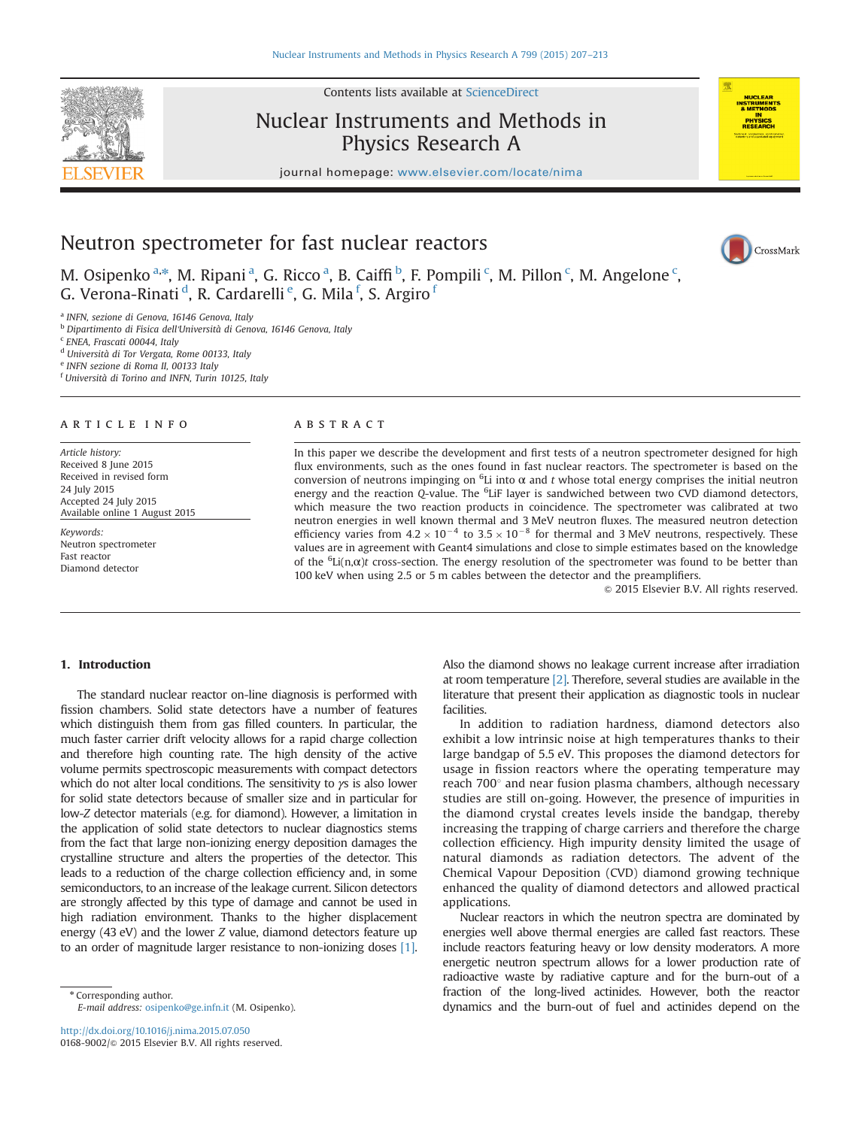Contents lists available at [ScienceDirect](www.sciencedirect.com/science/journal/01689002)

Nuclear Instruments and Methods in Physics Research A



CrossMark

journal homepage: <www.elsevier.com/locate/nima>

# Neutron spectrometer for fast nuclear reactors

M. Osipenko<sup>a,\*</sup>, M. Ripani<sup>a</sup>, G. Ricco<sup>a</sup>, B. Caiffi<sup>b</sup>, F. Pompili<sup>c</sup>, M. Pillon<sup>c</sup>, M. Angelone<sup>c</sup>, G. Verona-Rinati<sup>d</sup>, R. Cardarelli<sup>e</sup>, G. Mila<sup>f</sup>, S. Argiro<sup>f</sup>

<sup>a</sup> INFN, sezione di Genova, 16146 Genova, Italy

<sup>b</sup> Dipartimento di Fisica dell'Università di Genova, 16146 Genova, Italy

<sup>c</sup> ENEA, Frascati 00044, Italy

<sup>d</sup> Università di Tor Vergata, Rome 00133, Italy

<sup>e</sup> INFN sezione di Roma II, 00133 Italy

f Università di Torino and INFN, Turin 10125, Italy

#### article info

Article history: Received 8 June 2015 Received in revised form 24 July 2015 Accepted 24 July 2015 Available online 1 August 2015

Keywords: Neutron spectrometer Fast reactor Diamond detector

# ABSTRACT

In this paper we describe the development and first tests of a neutron spectrometer designed for high flux environments, such as the ones found in fast nuclear reactors. The spectrometer is based on the conversion of neutrons impinging on  $6Li$  into  $\alpha$  and t whose total energy comprises the initial neutron energy and the reaction Q-value. The <sup>6</sup>LiF layer is sandwiched between two CVD diamond detectors, which measure the two reaction products in coincidence. The spectrometer was calibrated at two neutron energies in well known thermal and 3 MeV neutron fluxes. The measured neutron detection efficiency varies from  $4.2 \times 10^{-4}$  to  $3.5 \times 10^{-8}$  for thermal and 3 MeV neutrons, respectively. These values are in agreement with Geant4 simulations and close to simple estimates based on the knowledge of the  ${}^{6}Li(n,\alpha)t$  cross-section. The energy resolution of the spectrometer was found to be better than 100 keV when using 2.5 or 5 m cables between the detector and the preamplifiers.

 $© 2015 Elsevier B.V. All rights reserved.$ 

# 1. Introduction

The standard nuclear reactor on-line diagnosis is performed with fission chambers. Solid state detectors have a number of features which distinguish them from gas filled counters. In particular, the much faster carrier drift velocity allows for a rapid charge collection and therefore high counting rate. The high density of the active volume permits spectroscopic measurements with compact detectors which do not alter local conditions. The sensitivity to  $\gamma s$  is also lower for solid state detectors because of smaller size and in particular for low-Z detector materials (e.g. for diamond). However, a limitation in the application of solid state detectors to nuclear diagnostics stems from the fact that large non-ionizing energy deposition damages the crystalline structure and alters the properties of the detector. This leads to a reduction of the charge collection efficiency and, in some semiconductors, to an increase of the leakage current. Silicon detectors are strongly affected by this type of damage and cannot be used in high radiation environment. Thanks to the higher displacement energy (43 eV) and the lower Z value, diamond detectors feature up to an order of magnitude larger resistance to non-ionizing doses [\[1\].](#page-5-0)

\* Corresponding author. E-mail address: [osipenko@ge.infn.it](mailto:osipenko@ge.infn.it) (M. Osipenko).

<http://dx.doi.org/10.1016/j.nima.2015.07.050> 0168-9002/© 2015 Elsevier B.V. All rights reserved. Also the diamond shows no leakage current increase after irradiation at room temperature [\[2\].](#page-5-0) Therefore, several studies are available in the literature that present their application as diagnostic tools in nuclear facilities.

In addition to radiation hardness, diamond detectors also exhibit a low intrinsic noise at high temperatures thanks to their large bandgap of 5.5 eV. This proposes the diamond detectors for usage in fission reactors where the operating temperature may reach 700° and near fusion plasma chambers, although necessary studies are still on-going. However, the presence of impurities in the diamond crystal creates levels inside the bandgap, thereby increasing the trapping of charge carriers and therefore the charge collection efficiency. High impurity density limited the usage of natural diamonds as radiation detectors. The advent of the Chemical Vapour Deposition (CVD) diamond growing technique enhanced the quality of diamond detectors and allowed practical applications.

Nuclear reactors in which the neutron spectra are dominated by energies well above thermal energies are called fast reactors. These include reactors featuring heavy or low density moderators. A more energetic neutron spectrum allows for a lower production rate of radioactive waste by radiative capture and for the burn-out of a fraction of the long-lived actinides. However, both the reactor dynamics and the burn-out of fuel and actinides depend on the

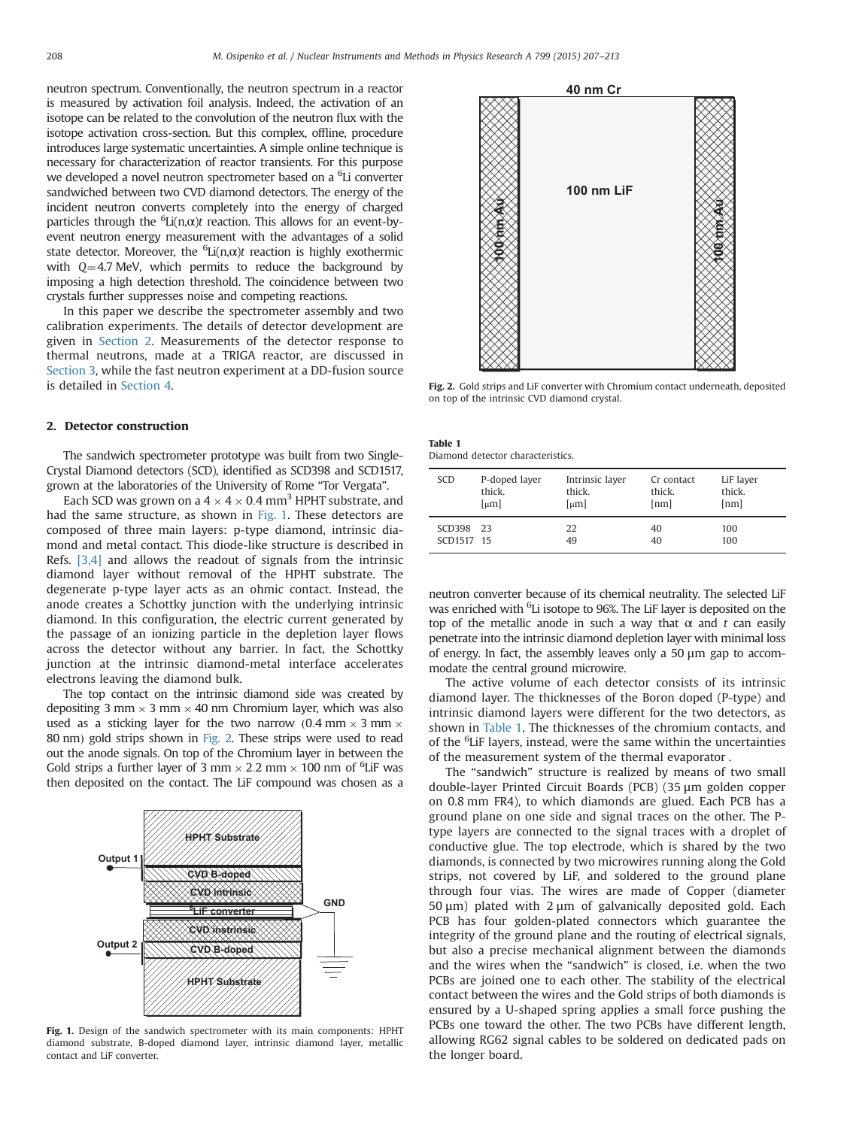neutron spectrum. Conventionally, the neutron spectrum in a reactor is measured by activation foil analysis. Indeed, the activation of an isotope can be related to the convolution of the neutron flux with the isotope activation cross-section. But this complex, offline, procedure introduces large systematic uncertainties. A simple online technique is necessary for characterization of reactor transients. For this purpose we developed a novel neutron spectrometer based on a <sup>6</sup>Li converter sandwiched between two CVD diamond detectors. The energy of the incident neutron converts completely into the energy of charged particles through the  ${}^{6}$ Li(n, $\alpha$ )t reaction. This allows for an event-byevent neutron energy measurement with the advantages of a solid state detector. Moreover, the  ${}^6\text{Li}(\text{n},\alpha)$ t reaction is highly exothermic with  $Q=4.7$  MeV, which permits to reduce the background by imposing a high detection threshold. The coincidence between two crystals further suppresses noise and competing reactions.

In this paper we describe the spectrometer assembly and two calibration experiments. The details of detector development are given in Section 2. Measurements of the detector response to thermal neutrons, made at a TRIGA reactor, are discussed in [Section 3](#page-2-0), while the fast neutron experiment at a DD-fusion source is detailed in [Section 4](#page-3-0).

# 2. Detector construction

The sandwich spectrometer prototype was built from two Single-Crystal Diamond detectors (SCD), identified as SCD398 and SCD1517, grown at the laboratories of the University of Rome "Tor Vergata".

Each SCD was grown on a  $4 \times 4 \times 0.4$  mm<sup>3</sup> HPHT substrate, and had the same structure, as shown in Fig. 1. These detectors are composed of three main layers: p-type diamond, intrinsic diamond and metal contact. This diode-like structure is described in Refs. [\[3,4\]](#page-5-0) and allows the readout of signals from the intrinsic diamond layer without removal of the HPHT substrate. The degenerate p-type layer acts as an ohmic contact. Instead, the anode creates a Schottky junction with the underlying intrinsic diamond. In this configuration, the electric current generated by the passage of an ionizing particle in the depletion layer flows across the detector without any barrier. In fact, the Schottky junction at the intrinsic diamond-metal interface accelerates electrons leaving the diamond bulk.

The top contact on the intrinsic diamond side was created by depositing 3 mm  $\times$  3 mm  $\times$  40 nm Chromium layer, which was also used as a sticking layer for the two narrow  $(0.4 \text{ mm} \times 3 \text{ mm} \times$ 80 nm) gold strips shown in Fig. 2. These strips were used to read out the anode signals. On top of the Chromium layer in between the Gold strips a further layer of 3 mm  $\times$  2.2 mm  $\times$  100 nm of <sup>6</sup>LiF was then deposited on the contact. The LiF compound was chosen as a



Fig. 1. Design of the sandwich spectrometer with its main components: HPHT diamond substrate, B-doped diamond layer, intrinsic diamond layer, metallic contact and LiF converter.



Fig. 2. Gold strips and LiF converter with Chromium contact underneath, deposited on top of the intrinsic CVD diamond crystal.

| Table 1                           |  |
|-----------------------------------|--|
| Diamond detector characteristics. |  |

| <b>SCD</b> | P-doped layer         | Intrinsic layer       | Cr contact | LiF layer |
|------------|-----------------------|-----------------------|------------|-----------|
|            | thick.                | thick.                | thick.     | thick.    |
|            | $\lceil \mu m \rceil$ | $\lceil \mu m \rceil$ | [nm]       | [nm]      |
| SCD398 23  |                       | 22                    | 40         | 100       |
| SCD1517 15 |                       | 49                    | 40         | 100       |

neutron converter because of its chemical neutrality. The selected LiF was enriched with <sup>6</sup>Li isotope to 96%. The LiF layer is deposited on the top of the metallic anode in such a way that  $\alpha$  and t can easily penetrate into the intrinsic diamond depletion layer with minimal loss of energy. In fact, the assembly leaves only a 50 μm gap to accommodate the central ground microwire.

The active volume of each detector consists of its intrinsic diamond layer. The thicknesses of the Boron doped (P-type) and intrinsic diamond layers were different for the two detectors, as shown in Table 1. The thicknesses of the chromium contacts, and of the <sup>6</sup>LiF layers, instead, were the same within the uncertainties of the measurement system of the thermal evaporator .

The "sandwich" structure is realized by means of two small double-layer Printed Circuit Boards (PCB) (35 μm golden copper on 0.8 mm FR4), to which diamonds are glued. Each PCB has a ground plane on one side and signal traces on the other. The Ptype layers are connected to the signal traces with a droplet of conductive glue. The top electrode, which is shared by the two diamonds, is connected by two microwires running along the Gold strips, not covered by LiF, and soldered to the ground plane through four vias. The wires are made of Copper (diameter 50 μm) plated with 2 μm of galvanically deposited gold. Each PCB has four golden-plated connectors which guarantee the integrity of the ground plane and the routing of electrical signals, but also a precise mechanical alignment between the diamonds and the wires when the "sandwich" is closed, i.e. when the two PCBs are joined one to each other. The stability of the electrical contact between the wires and the Gold strips of both diamonds is ensured by a U-shaped spring applies a small force pushing the PCBs one toward the other. The two PCBs have different length, allowing RG62 signal cables to be soldered on dedicated pads on the longer board.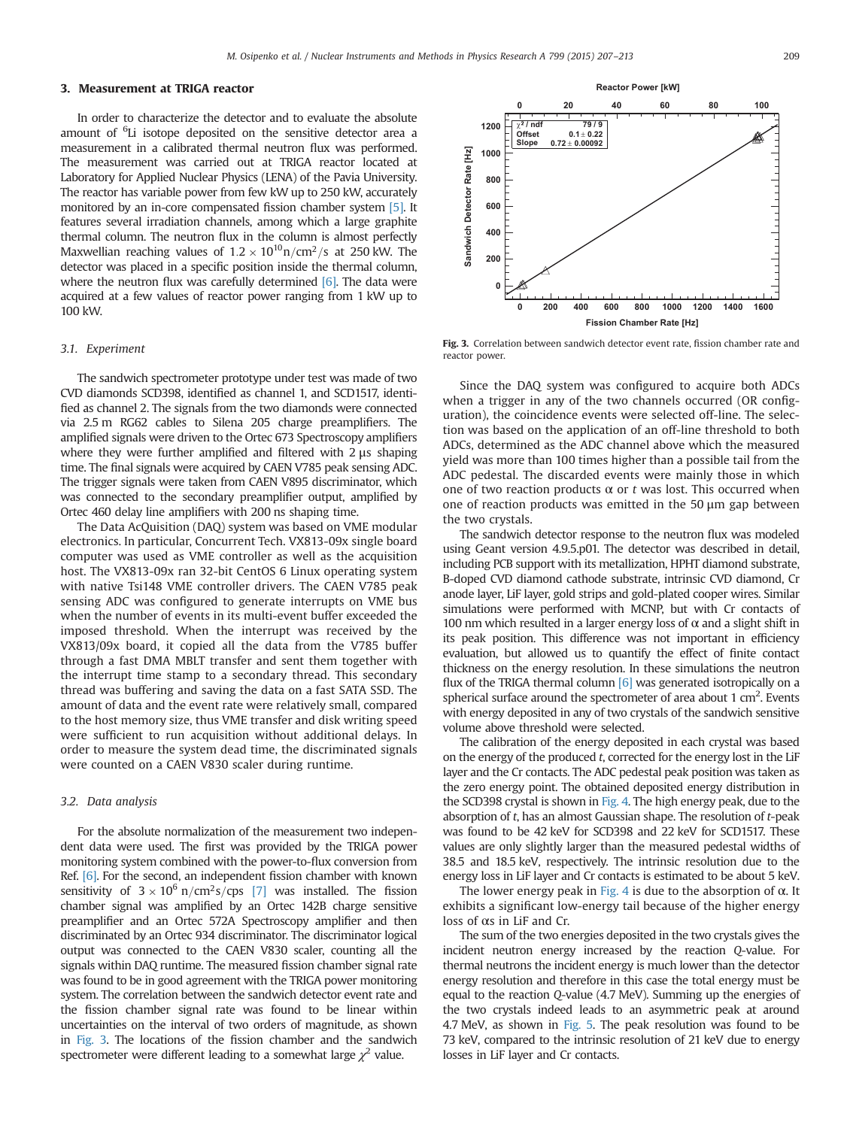#### <span id="page-2-0"></span>3. Measurement at TRIGA reactor

In order to characterize the detector and to evaluate the absolute amount of <sup>6</sup>Li isotope deposited on the sensitive detector area a measurement in a calibrated thermal neutron flux was performed. The measurement was carried out at TRIGA reactor located at Laboratory for Applied Nuclear Physics (LENA) of the Pavia University. The reactor has variable power from few kW up to 250 kW, accurately monitored by an in-core compensated fission chamber system [\[5\].](#page-5-0) It features several irradiation channels, among which a large graphite thermal column. The neutron flux in the column is almost perfectly Maxwellian reaching values of  $1.2 \times 10^{10}$ n/cm<sup>2</sup>/s at 250 kW. The detector was placed in a specific position inside the thermal column, where the neutron flux was carefully determined  $[6]$ . The data were acquired at a few values of reactor power ranging from 1 kW up to 100 kW.

#### 3.1. Experiment

The sandwich spectrometer prototype under test was made of two CVD diamonds SCD398, identified as channel 1, and SCD1517, identified as channel 2. The signals from the two diamonds were connected via 2.5 m RG62 cables to Silena 205 charge preamplifiers. The amplified signals were driven to the Ortec 673 Spectroscopy amplifiers where they were further amplified and filtered with 2 μs shaping time. The final signals were acquired by CAEN V785 peak sensing ADC. The trigger signals were taken from CAEN V895 discriminator, which was connected to the secondary preamplifier output, amplified by Ortec 460 delay line amplifiers with 200 ns shaping time.

The Data AcQuisition (DAQ) system was based on VME modular electronics. In particular, Concurrent Tech. VX813-09x single board computer was used as VME controller as well as the acquisition host. The VX813-09x ran 32-bit CentOS 6 Linux operating system with native Tsi148 VME controller drivers. The CAEN V785 peak sensing ADC was configured to generate interrupts on VME bus when the number of events in its multi-event buffer exceeded the imposed threshold. When the interrupt was received by the VX813/09x board, it copied all the data from the V785 buffer through a fast DMA MBLT transfer and sent them together with the interrupt time stamp to a secondary thread. This secondary thread was buffering and saving the data on a fast SATA SSD. The amount of data and the event rate were relatively small, compared to the host memory size, thus VME transfer and disk writing speed were sufficient to run acquisition without additional delays. In order to measure the system dead time, the discriminated signals were counted on a CAEN V830 scaler during runtime.

### 3.2. Data analysis

For the absolute normalization of the measurement two independent data were used. The first was provided by the TRIGA power monitoring system combined with the power-to-flux conversion from Ref. [\[6\].](#page-5-0) For the second, an independent fission chamber with known sensitivity of  $3 \times 10^6$  n/cm<sup>2</sup>s/cps [\[7\]](#page-6-0) was installed. The fission chamber signal was amplified by an Ortec 142B charge sensitive preamplifier and an Ortec 572A Spectroscopy amplifier and then discriminated by an Ortec 934 discriminator. The discriminator logical output was connected to the CAEN V830 scaler, counting all the signals within DAQ runtime. The measured fission chamber signal rate was found to be in good agreement with the TRIGA power monitoring system. The correlation between the sandwich detector event rate and the fission chamber signal rate was found to be linear within uncertainties on the interval of two orders of magnitude, as shown in Fig. 3. The locations of the fission chamber and the sandwich spectrometer were different leading to a somewhat large  $\chi^2$  value.



Fig. 3. Correlation between sandwich detector event rate, fission chamber rate and reactor power.

Since the DAQ system was configured to acquire both ADCs when a trigger in any of the two channels occurred (OR configuration), the coincidence events were selected off-line. The selection was based on the application of an off-line threshold to both ADCs, determined as the ADC channel above which the measured yield was more than 100 times higher than a possible tail from the ADC pedestal. The discarded events were mainly those in which one of two reaction products  $α$  or  $t$  was lost. This occurred when one of reaction products was emitted in the 50 μm gap between the two crystals.

The sandwich detector response to the neutron flux was modeled using Geant version 4.9.5.p01. The detector was described in detail, including PCB support with its metallization, HPHT diamond substrate, B-doped CVD diamond cathode substrate, intrinsic CVD diamond, Cr anode layer, LiF layer, gold strips and gold-plated cooper wires. Similar simulations were performed with MCNP, but with Cr contacts of 100 nm which resulted in a larger energy loss of  $\alpha$  and a slight shift in its peak position. This difference was not important in efficiency evaluation, but allowed us to quantify the effect of finite contact thickness on the energy resolution. In these simulations the neutron flux of the TRIGA thermal column  $[6]$  was generated isotropically on a spherical surface around the spectrometer of area about  $1 \text{ cm}^2$ . Events with energy deposited in any of two crystals of the sandwich sensitive volume above threshold were selected.

The calibration of the energy deposited in each crystal was based on the energy of the produced  $t$ , corrected for the energy lost in the LiF layer and the Cr contacts. The ADC pedestal peak position was taken as the zero energy point. The obtained deposited energy distribution in the SCD398 crystal is shown in [Fig. 4.](#page-3-0) The high energy peak, due to the absorption of t, has an almost Gaussian shape. The resolution of t-peak was found to be 42 keV for SCD398 and 22 keV for SCD1517. These values are only slightly larger than the measured pedestal widths of 38.5 and 18.5 keV, respectively. The intrinsic resolution due to the energy loss in LiF layer and Cr contacts is estimated to be about 5 keV.

The lower energy peak in [Fig. 4](#page-3-0) is due to the absorption of  $\alpha$ . It exhibits a significant low-energy tail because of the higher energy loss of αs in LiF and Cr.

The sum of the two energies deposited in the two crystals gives the incident neutron energy increased by the reaction Q-value. For thermal neutrons the incident energy is much lower than the detector energy resolution and therefore in this case the total energy must be equal to the reaction Q-value (4.7 MeV). Summing up the energies of the two crystals indeed leads to an asymmetric peak at around 4.7 MeV, as shown in [Fig. 5.](#page-3-0) The peak resolution was found to be 73 keV, compared to the intrinsic resolution of 21 keV due to energy losses in LiF layer and Cr contacts.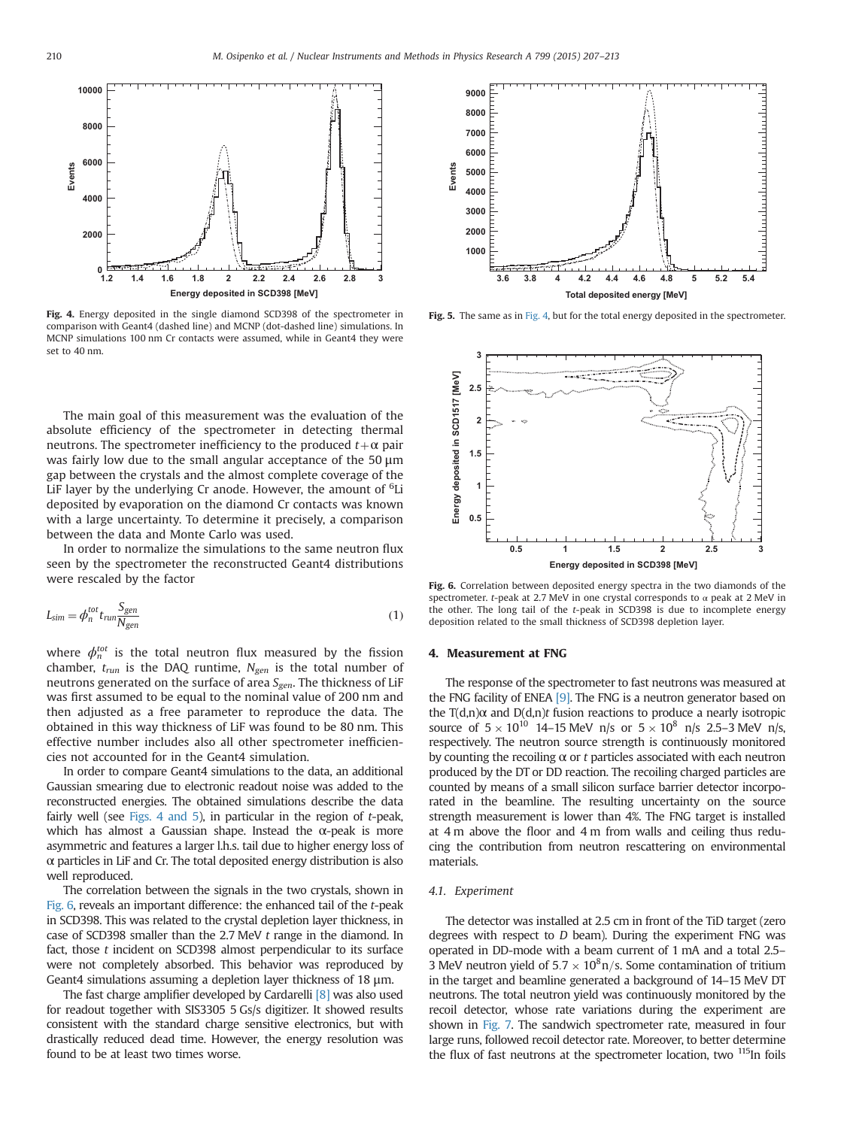<span id="page-3-0"></span>

Fig. 4. Energy deposited in the single diamond SCD398 of the spectrometer in comparison with Geant4 (dashed line) and MCNP (dot-dashed line) simulations. In MCNP simulations 100 nm Cr contacts were assumed, while in Geant4 they were set to 40 nm.

The main goal of this measurement was the evaluation of the absolute efficiency of the spectrometer in detecting thermal neutrons. The spectrometer inefficiency to the produced  $t + \alpha$  pair was fairly low due to the small angular acceptance of the 50 μm gap between the crystals and the almost complete coverage of the LiF layer by the underlying Cr anode. However, the amount of <sup>6</sup>Li deposited by evaporation on the diamond Cr contacts was known with a large uncertainty. To determine it precisely, a comparison between the data and Monte Carlo was used.

In order to normalize the simulations to the same neutron flux seen by the spectrometer the reconstructed Geant4 distributions were rescaled by the factor

$$
L_{\text{sim}} = \phi_n^{\text{tot}} t_{\text{run}} \frac{S_{\text{gen}}}{N_{\text{gen}}} \tag{1}
$$

where  $\phi_n^{tot}$  is the total neutron flux measured by the fission chamber,  $t_{run}$  is the DAQ runtime,  $N_{gen}$  is the total number of neutrons generated on the surface of area  $S_{gen}$ . The thickness of LiF was first assumed to be equal to the nominal value of 200 nm and then adjusted as a free parameter to reproduce the data. The obtained in this way thickness of LiF was found to be 80 nm. This effective number includes also all other spectrometer inefficiencies not accounted for in the Geant4 simulation.

In order to compare Geant4 simulations to the data, an additional Gaussian smearing due to electronic readout noise was added to the reconstructed energies. The obtained simulations describe the data fairly well (see Figs. 4 and 5), in particular in the region of  $t$ -peak, which has almost a Gaussian shape. Instead the  $\alpha$ -peak is more asymmetric and features a larger l.h.s. tail due to higher energy loss of  $\alpha$  particles in LiF and Cr. The total deposited energy distribution is also well reproduced.

The correlation between the signals in the two crystals, shown in Fig. 6, reveals an important difference: the enhanced tail of the t-peak in SCD398. This was related to the crystal depletion layer thickness, in case of SCD398 smaller than the 2.7 MeV t range in the diamond. In fact, those  $t$  incident on SCD398 almost perpendicular to its surface were not completely absorbed. This behavior was reproduced by Geant4 simulations assuming a depletion layer thickness of 18 μm.

The fast charge amplifier developed by Cardarelli [\[8\]](#page-6-0) was also used for readout together with SIS3305 5 Gs/s digitizer. It showed results consistent with the standard charge sensitive electronics, but with drastically reduced dead time. However, the energy resolution was found to be at least two times worse.



Fig. 5. The same as in Fig. 4, but for the total energy deposited in the spectrometer.



Fig. 6. Correlation between deposited energy spectra in the two diamonds of the spectrometer. t-peak at 2.7 MeV in one crystal corresponds to  $\alpha$  peak at 2 MeV in the other. The long tail of the t-peak in SCD398 is due to incomplete energy deposition related to the small thickness of SCD398 depletion layer.

#### 4. Measurement at FNG

The response of the spectrometer to fast neutrons was measured at the FNG facility of ENEA [\[9\].](#page-6-0) The FNG is a neutron generator based on the  $T(d,n)\alpha$  and  $D(d,n)t$  fusion reactions to produce a nearly isotropic source of  $5 \times 10^{10}$  14–15 MeV n/s or  $5 \times 10^8$  n/s 2.5–3 MeV n/s, respectively. The neutron source strength is continuously monitored by counting the recoiling  $\alpha$  or  $t$  particles associated with each neutron produced by the DT or DD reaction. The recoiling charged particles are counted by means of a small silicon surface barrier detector incorporated in the beamline. The resulting uncertainty on the source strength measurement is lower than 4%. The FNG target is installed at 4 m above the floor and 4 m from walls and ceiling thus reducing the contribution from neutron rescattering on environmental materials.

#### 4.1. Experiment

The detector was installed at 2.5 cm in front of the TiD target (zero degrees with respect to  $D$  beam). During the experiment FNG was operated in DD-mode with a beam current of 1 mA and a total 2.5– 3 MeV neutron yield of  $5.7 \times 10^8$ n/s. Some contamination of tritium in the target and beamline generated a background of 14–15 MeV DT neutrons. The total neutron yield was continuously monitored by the recoil detector, whose rate variations during the experiment are shown in [Fig. 7.](#page-4-0) The sandwich spectrometer rate, measured in four large runs, followed recoil detector rate. Moreover, to better determine the flux of fast neutrons at the spectrometer location, two <sup>115</sup>In foils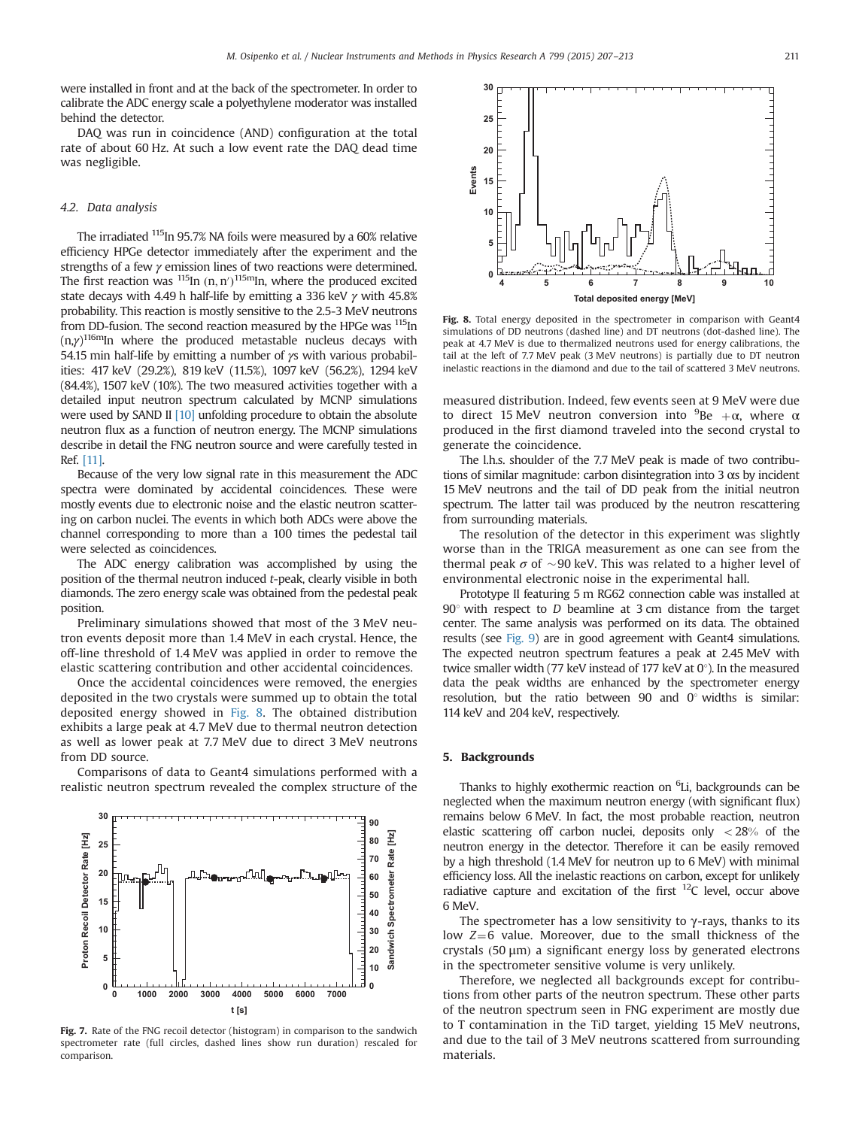<span id="page-4-0"></span>were installed in front and at the back of the spectrometer. In order to calibrate the ADC energy scale a polyethylene moderator was installed behind the detector.

DAQ was run in coincidence (AND) configuration at the total rate of about 60 Hz. At such a low event rate the DAQ dead time was negligible.

# 4.2. Data analysis

The irradiated 115In 95.7% NA foils were measured by a 60% relative efficiency HPGe detector immediately after the experiment and the strengths of a few γ emission lines of two reactions were determined. The first reaction was  $\frac{115 \text{ln} (n, n')}{115 \text{ln} (n, n')}$  where the produced excited state decays with 4.49 h half-life by emitting a 336 keV  $\gamma$  with 45.8% probability. This reaction is mostly sensitive to the 2.5-3 MeV neutrons from DD-fusion. The second reaction measured by the HPGe was <sup>115</sup>In  $(n,\gamma)^{116m}$ In where the produced metastable nucleus decays with 54.15 min half-life by emitting a number of  $\gamma s$  with various probabilities: 417 keV (29.2%), 819 keV (11.5%), 1097 keV (56.2%), 1294 keV (84.4%), 1507 keV (10%). The two measured activities together with a detailed input neutron spectrum calculated by MCNP simulations were used by SAND II [\[10\]](#page-6-0) unfolding procedure to obtain the absolute neutron flux as a function of neutron energy. The MCNP simulations describe in detail the FNG neutron source and were carefully tested in Ref. [\[11\].](#page-6-0)

Because of the very low signal rate in this measurement the ADC spectra were dominated by accidental coincidences. These were mostly events due to electronic noise and the elastic neutron scattering on carbon nuclei. The events in which both ADCs were above the channel corresponding to more than a 100 times the pedestal tail were selected as coincidences.

The ADC energy calibration was accomplished by using the position of the thermal neutron induced t-peak, clearly visible in both diamonds. The zero energy scale was obtained from the pedestal peak position.

Preliminary simulations showed that most of the 3 MeV neutron events deposit more than 1.4 MeV in each crystal. Hence, the off-line threshold of 1.4 MeV was applied in order to remove the elastic scattering contribution and other accidental coincidences.

Once the accidental coincidences were removed, the energies deposited in the two crystals were summed up to obtain the total deposited energy showed in Fig. 8. The obtained distribution exhibits a large peak at 4.7 MeV due to thermal neutron detection as well as lower peak at 7.7 MeV due to direct 3 MeV neutrons from DD source.

Comparisons of data to Geant4 simulations performed with a realistic neutron spectrum revealed the complex structure of the



Fig. 7. Rate of the FNG recoil detector (histogram) in comparison to the sandwich spectrometer rate (full circles, dashed lines show run duration) rescaled for comparison.



Fig. 8. Total energy deposited in the spectrometer in comparison with Geant4 simulations of DD neutrons (dashed line) and DT neutrons (dot-dashed line). The peak at 4.7 MeV is due to thermalized neutrons used for energy calibrations, the tail at the left of 7.7 MeV peak (3 MeV neutrons) is partially due to DT neutron inelastic reactions in the diamond and due to the tail of scattered 3 MeV neutrons.

measured distribution. Indeed, few events seen at 9 MeV were due to direct 15 MeV neutron conversion into  $^{9}$ Be + $\alpha$ , where  $\alpha$ produced in the first diamond traveled into the second crystal to generate the coincidence.

The l.h.s. shoulder of the 7.7 MeV peak is made of two contributions of similar magnitude: carbon disintegration into 3 αs by incident 15 MeV neutrons and the tail of DD peak from the initial neutron spectrum. The latter tail was produced by the neutron rescattering from surrounding materials.

The resolution of the detector in this experiment was slightly worse than in the TRIGA measurement as one can see from the thermal peak  $\sigma$  of  $\sim$ 90 keV. This was related to a higher level of environmental electronic noise in the experimental hall.

Prototype II featuring 5 m RG62 connection cable was installed at  $90^\circ$  with respect to D beamline at 3 cm distance from the target center. The same analysis was performed on its data. The obtained results (see [Fig. 9](#page-5-0)) are in good agreement with Geant4 simulations. The expected neutron spectrum features a peak at 2.45 MeV with twice smaller width (77 keV instead of 177 keV at  $0^{\circ}$ ). In the measured data the peak widths are enhanced by the spectrometer energy resolution, but the ratio between 90 and  $0^{\circ}$  widths is similar: 114 keV and 204 keV, respectively.

# 5. Backgrounds

Thanks to highly exothermic reaction on <sup>6</sup>Li, backgrounds can be neglected when the maximum neutron energy (with significant flux) remains below 6 MeV. In fact, the most probable reaction, neutron elastic scattering off carbon nuclei, deposits only  $\langle 28\%$  of the neutron energy in the detector. Therefore it can be easily removed by a high threshold (1.4 MeV for neutron up to 6 MeV) with minimal efficiency loss. All the inelastic reactions on carbon, except for unlikely radiative capture and excitation of the first  $^{12}C$  level, occur above 6 MeV.

The spectrometer has a low sensitivity to  $\gamma$ -rays, thanks to its low  $Z=6$  value. Moreover, due to the small thickness of the crystals  $(50 \mu m)$  a significant energy loss by generated electrons in the spectrometer sensitive volume is very unlikely.

Therefore, we neglected all backgrounds except for contributions from other parts of the neutron spectrum. These other parts of the neutron spectrum seen in FNG experiment are mostly due to T contamination in the TiD target, yielding 15 MeV neutrons, and due to the tail of 3 MeV neutrons scattered from surrounding materials.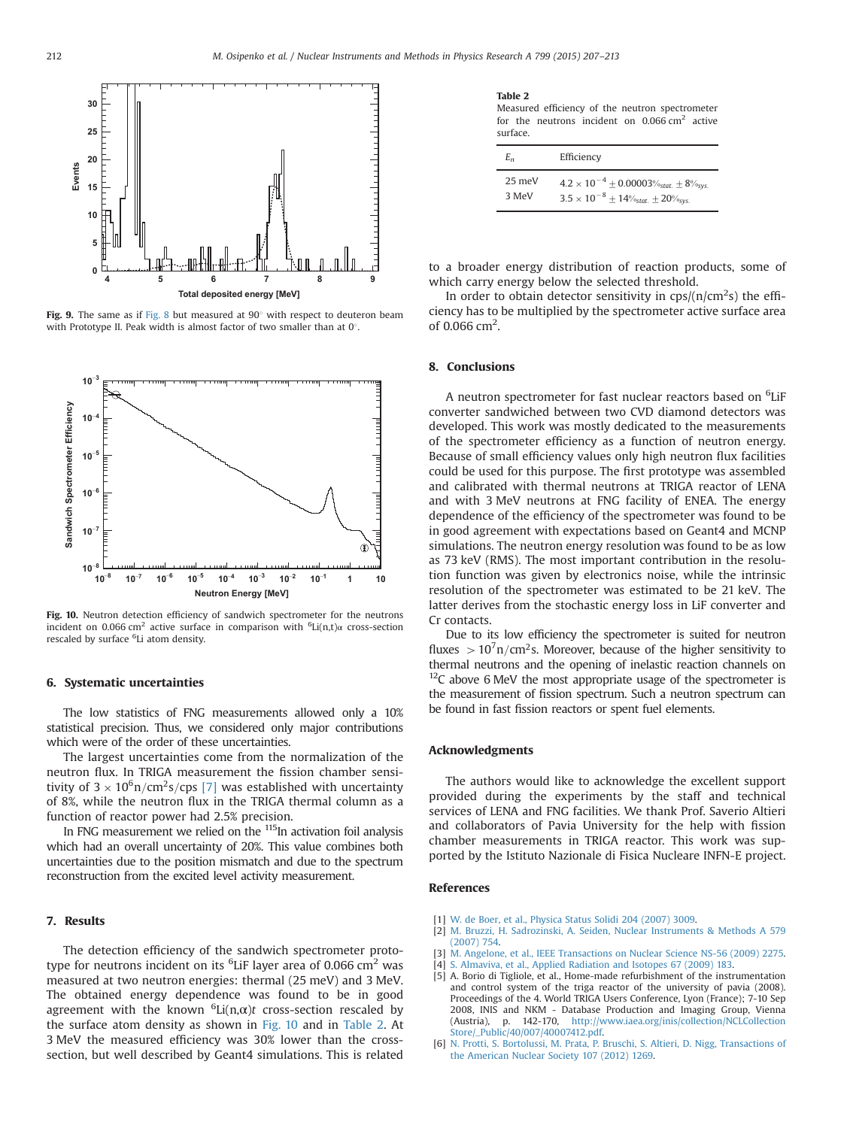<span id="page-5-0"></span>

Fig. 9. The same as if [Fig. 8](#page-4-0) but measured at  $90^{\circ}$  with respect to deuteron beam with Prototype II. Peak width is almost factor of two smaller than at  $0^\circ$ .



Fig. 10. Neutron detection efficiency of sandwich spectrometer for the neutrons incident on 0.066 cm<sup>2</sup> active surface in comparison with  ${}^{6}$ Li(n,t) $\alpha$  cross-section rescaled by surface <sup>6</sup>Li atom density.

#### 6. Systematic uncertainties

The low statistics of FNG measurements allowed only a 10% statistical precision. Thus, we considered only major contributions which were of the order of these uncertainties.

The largest uncertainties come from the normalization of the neutron flux. In TRIGA measurement the fission chamber sensitivity of  $3 \times 10^6$ n/cm<sup>2</sup>s/cps [\[7\]](#page-6-0) was established with uncertainty of 8%, while the neutron flux in the TRIGA thermal column as a function of reactor power had 2.5% precision.

In FNG measurement we relied on the <sup>115</sup>In activation foil analysis which had an overall uncertainty of 20%. This value combines both uncertainties due to the position mismatch and due to the spectrum reconstruction from the excited level activity measurement.

#### 7. Results

The detection efficiency of the sandwich spectrometer prototype for neutrons incident on its  $^6$ LiF layer area of 0.066 cm $^2$  was measured at two neutron energies: thermal (25 meV) and 3 MeV. The obtained energy dependence was found to be in good agreement with the known  ${}^{6}$ Li $(n,\alpha)t$  cross-section rescaled by the surface atom density as shown in Fig. 10 and in Table 2. At 3 MeV the measured efficiency was 30% lower than the crosssection, but well described by Geant4 simulations. This is related

| ומגו | œ |  |
|------|---|--|
|      |   |  |

Measured efficiency of the neutron spectrometer for the neutrons incident on  $0.066$  cm<sup>2</sup> active surface.

| E,    |        | Efficiency                                                                                                         |
|-------|--------|--------------------------------------------------------------------------------------------------------------------|
| 3 MeV | 25 meV | $4.2 \times 10^{-4} \pm 0.00003\%_{stat.} \pm 8\%_{sys.}$<br>$3.5 \times 10^{-8} \pm 14\%_{stat.} \pm 20\%_{sys.}$ |

to a broader energy distribution of reaction products, some of which carry energy below the selected threshold.

In order to obtain detector sensitivity in  $cps/(n/cm<sup>2</sup>s)$  the efficiency has to be multiplied by the spectrometer active surface area of 0.066 cm<sup>2</sup>.

#### 8. Conclusions

A neutron spectrometer for fast nuclear reactors based on <sup>6</sup>LiF converter sandwiched between two CVD diamond detectors was developed. This work was mostly dedicated to the measurements of the spectrometer efficiency as a function of neutron energy. Because of small efficiency values only high neutron flux facilities could be used for this purpose. The first prototype was assembled and calibrated with thermal neutrons at TRIGA reactor of LENA and with 3 MeV neutrons at FNG facility of ENEA. The energy dependence of the efficiency of the spectrometer was found to be in good agreement with expectations based on Geant4 and MCNP simulations. The neutron energy resolution was found to be as low as 73 keV (RMS). The most important contribution in the resolution function was given by electronics noise, while the intrinsic resolution of the spectrometer was estimated to be 21 keV. The latter derives from the stochastic energy loss in LiF converter and Cr contacts.

Due to its low efficiency the spectrometer is suited for neutron fluxes  $> 10^7$ n/cm<sup>2</sup>s. Moreover, because of the higher sensitivity to thermal neutrons and the opening of inelastic reaction channels on  $12C$  above 6 MeV the most appropriate usage of the spectrometer is the measurement of fission spectrum. Such a neutron spectrum can be found in fast fission reactors or spent fuel elements.

### Acknowledgments

The authors would like to acknowledge the excellent support provided during the experiments by the staff and technical services of LENA and FNG facilities. We thank Prof. Saverio Altieri and collaborators of Pavia University for the help with fission chamber measurements in TRIGA reactor. This work was supported by the Istituto Nazionale di Fisica Nucleare INFN-E project.

#### References

- [1] [W. de Boer, et al., Physica Status Solidi 204 \(2007\) 3009.](http://refhub.elsevier.com/S0168-9002(15)00879-7/sbref1)
- [2] [M. Bruzzi, H. Sadrozinski, A. Seiden, Nuclear Instruments & Methods A 579](http://refhub.elsevier.com/S0168-9002(15)00879-7/sbref2) [\(2007\) 754.](http://refhub.elsevier.com/S0168-9002(15)00879-7/sbref2)
- [3] [M. Angelone, et al., IEEE Transactions on Nuclear Science NS-56 \(2009\) 2275.](http://refhub.elsevier.com/S0168-9002(15)00879-7/sbref3)
- [4] [S. Almaviva, et al., Applied Radiation and Isotopes 67 \(2009\) 183.](http://refhub.elsevier.com/S0168-9002(15)00879-7/sbref4)
- [5] A. Borio di Tigliole, et al., Home-made refurbishment of the instrumentation and control system of the triga reactor of the university of pavia (2008). Proceedings of the 4. World TRIGA Users Conference, Lyon (France); 7-10 Sep 2008, INIS and NKM - Database Production and Imaging Group, Vienna (Austria), p. 142-170, [http://www.iaea.org/inis/collection/NCLCollection](http://www.iaea.org/inis/collection/NCLCollectionStore/&underscore;Public/40/007/40007412.pdf) [Store/\\_Public/40/007/40007412.pdf](http://www.iaea.org/inis/collection/NCLCollectionStore/&underscore;Public/40/007/40007412.pdf).
- [6] [N. Protti, S. Bortolussi, M. Prata, P. Bruschi, S. Altieri, D. Nigg, Transactions of](http://refhub.elsevier.com/S0168-9002(15)00879-7/sbref6) [the American Nuclear Society 107 \(2012\) 1269.](http://refhub.elsevier.com/S0168-9002(15)00879-7/sbref6)